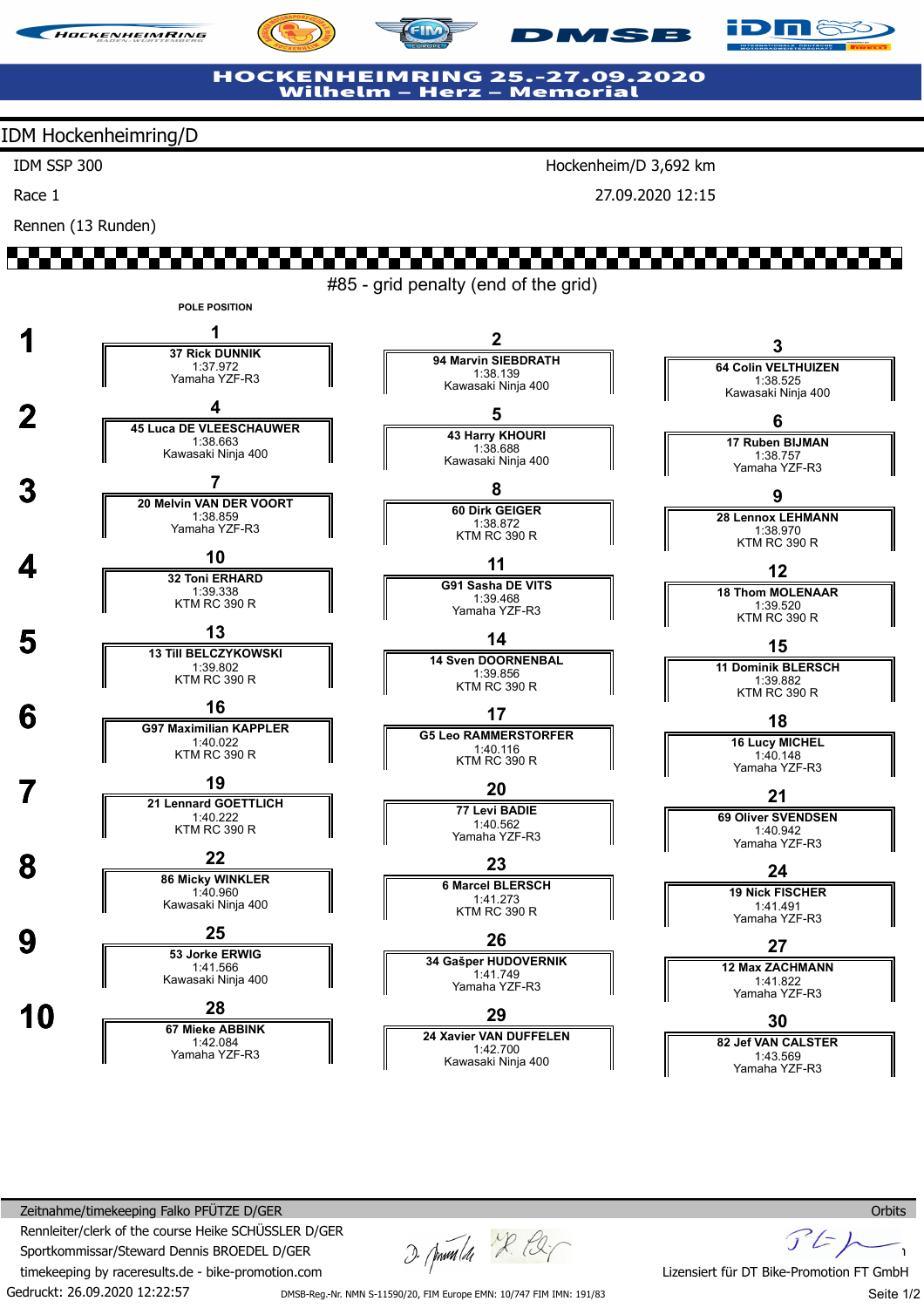





### **HOCKENHEIMRING 25.-27.09.2020 Wilhelm -**- Herz – Memorial

## IDM Hockenheimring/D

IDM SSP 300

Race 1

Rennen (13 Runden)

Hockenheim/D 3,692 km

**MSB** 

27.09.2020 12:15

#85 - grid penalty (end of the grid)



Gedruckt: 26.09.2020 12:22:57 Zeitnahme/timekeeping Falko PFÜTZE D/GER Rennleiter/clerk of the course Heike SCHÜSSLER D/GER Sportkommissar/Steward Dennis BROEDEL D/GER timekeeping by raceresults.de - bike-promotion.com

2. Juni 1 2. E.

 $F$ Lizensiert für DT Bike-Promotion FT GmbH

DMSB-Reg.-Nr. NMN S-11590/20, FIM Europe EMN: 10/747 FIM IMN: 191/83

Seite 1/2

**Orbits**